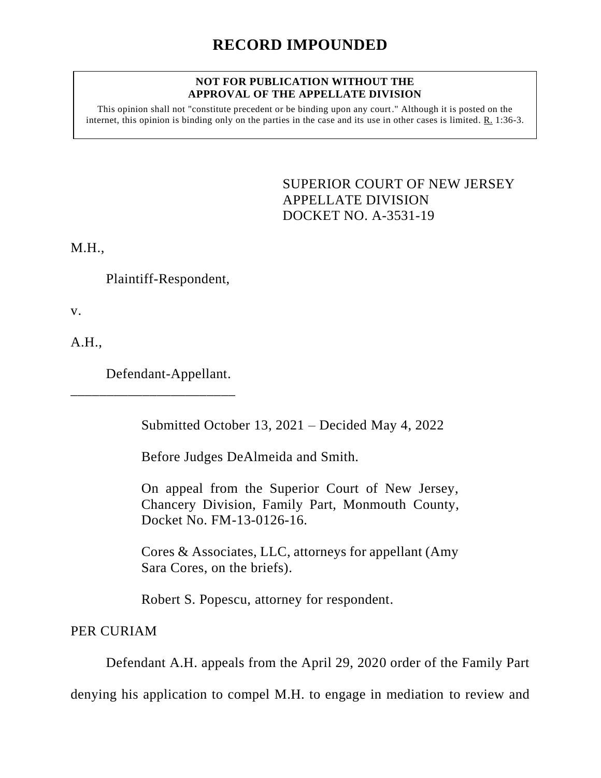## **RECORD IMPOUNDED**

## **NOT FOR PUBLICATION WITHOUT THE APPROVAL OF THE APPELLATE DIVISION**

This opinion shall not "constitute precedent or be binding upon any court." Although it is posted on the internet, this opinion is binding only on the parties in the case and its use in other cases is limited. R. 1:36-3.

> <span id="page-0-0"></span>SUPERIOR COURT OF NEW JERSEY APPELLATE DIVISION DOCKET NO. A-3531-19

M.H.,

Plaintiff-Respondent,

v.

A.H.,

Defendant-Appellant.

\_\_\_\_\_\_\_\_\_\_\_\_\_\_\_\_\_\_\_\_\_\_\_

Submitted October 13, 2021 – Decided May 4, 2022

Before Judges DeAlmeida and Smith.

On appeal from the Superior Court of New Jersey, Chancery Division, Family Part, Monmouth County, Docket No. FM-13-0126-16.

Cores & Associates, LLC, attorneys for appellant (Amy Sara Cores, on the briefs).

Robert S. Popescu, attorney for respondent.

PER CURIAM

Defendant A.H. appeals from the April 29, 2020 order of the Family Part

denying his application to compel M.H. to engage in mediation to review and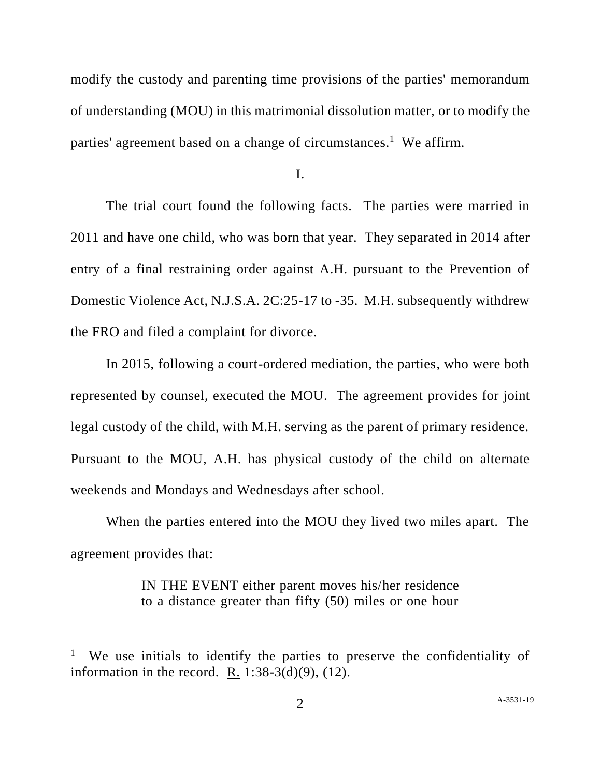modify the custody and parenting time provisions of the parties' memorandum of understanding (MOU) in this matrimonial dissolution matter, or to modify the parties' agreement based on a change of circumstances.<sup>1</sup> We affirm.

I.

The trial court found the following facts. The parties were married in 2011 and have one child, who was born that year. They separated in 2014 after entry of a final restraining order against A.H. pursuant to the Prevention of Domestic Violence Act, N.J.S.A. 2C:25-17 to -35. M.H. subsequently withdrew the FRO and filed a complaint for divorce.

In 2015, following a court-ordered mediation, the parties, who were both represented by counsel, executed the MOU. The agreement provides for joint legal custody of the child, with M.H. serving as the parent of primary residence. Pursuant to the MOU, A.H. has physical custody of the child on alternate weekends and Mondays and Wednesdays after school.

When the parties entered into the MOU they lived two miles apart. The agreement provides that:

> IN THE EVENT either parent moves his/her residence to a distance greater than fifty (50) miles or one hour

<sup>1</sup> We use initials to identify the parties to preserve the confidentiality of information in the record. R.  $1:38-3(d)(9)$ ,  $(12)$ .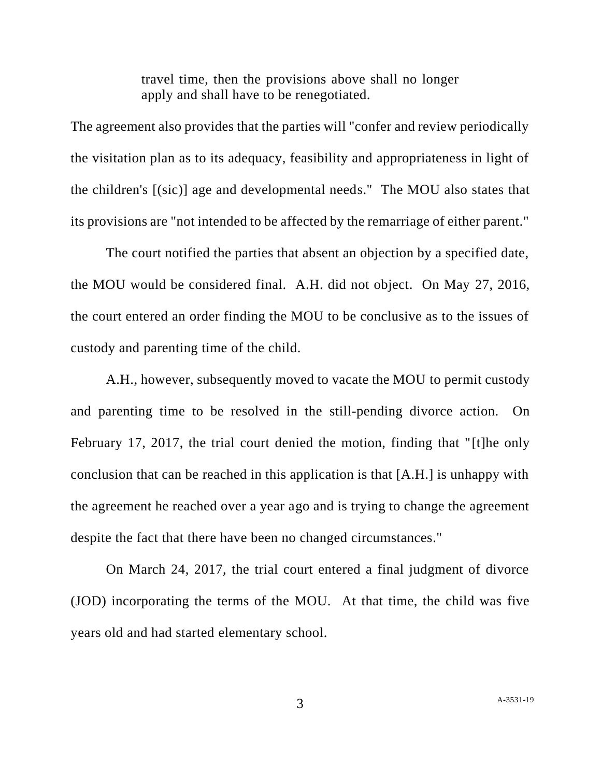travel time, then the provisions above shall no longer apply and shall have to be renegotiated.

The agreement also provides that the parties will "confer and review periodically the visitation plan as to its adequacy, feasibility and appropriateness in light of the children's [(sic)] age and developmental needs." The MOU also states that its provisions are "not intended to be affected by the remarriage of either parent."

The court notified the parties that absent an objection by a specified date, the MOU would be considered final. A.H. did not object. On May 27, 2016, the court entered an order finding the MOU to be conclusive as to the issues of custody and parenting time of the child.

A.H., however, subsequently moved to vacate the MOU to permit custody and parenting time to be resolved in the still-pending divorce action. On February 17, 2017, the trial court denied the motion, finding that "[t]he only conclusion that can be reached in this application is that [A.H.] is unhappy with the agreement he reached over a year ago and is trying to change the agreement despite the fact that there have been no changed circumstances."

On March 24, 2017, the trial court entered a final judgment of divorce (JOD) incorporating the terms of the MOU. At that time, the child was five years old and had started elementary school.

3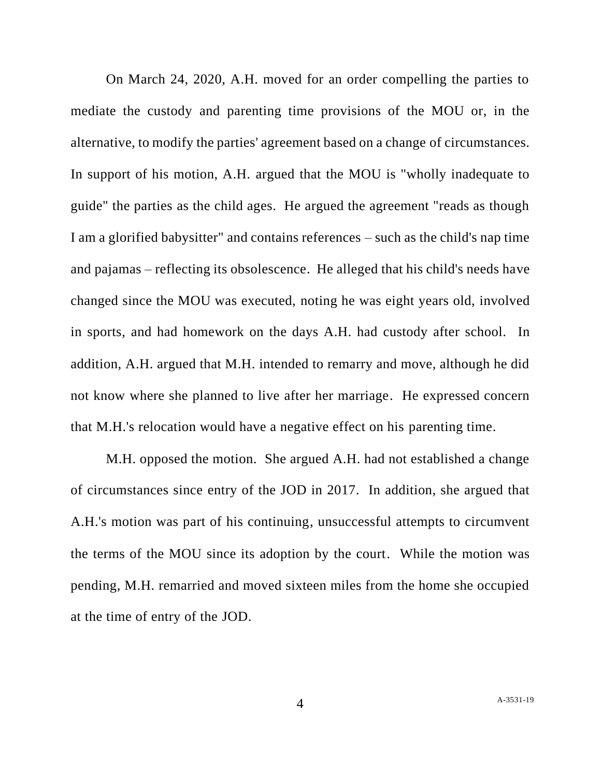On March 24, 2020, A.H. moved for an order compelling the parties to mediate the custody and parenting time provisions of the MOU or, in the alternative, to modify the parties' agreement based on a change of circumstances. In support of his motion, A.H. argued that the MOU is "wholly inadequate to guide" the parties as the child ages. He argued the agreement "reads as though I am a glorified babysitter" and contains references – such as the child's nap time and pajamas – reflecting its obsolescence. He alleged that his child's needs have changed since the MOU was executed, noting he was eight years old, involved in sports, and had homework on the days A.H. had custody after school. In addition, A.H. argued that M.H. intended to remarry and move, although he did not know where she planned to live after her marriage. He expressed concern that M.H.'s relocation would have a negative effect on his parenting time.

M.H. opposed the motion. She argued A.H. had not established a change of circumstances since entry of the JOD in 2017. In addition, she argued that A.H.'s motion was part of his continuing, unsuccessful attempts to circumvent the terms of the MOU since its adoption by the court. While the motion was pending, M.H. remarried and moved sixteen miles from the home she occupied at the time of entry of the JOD.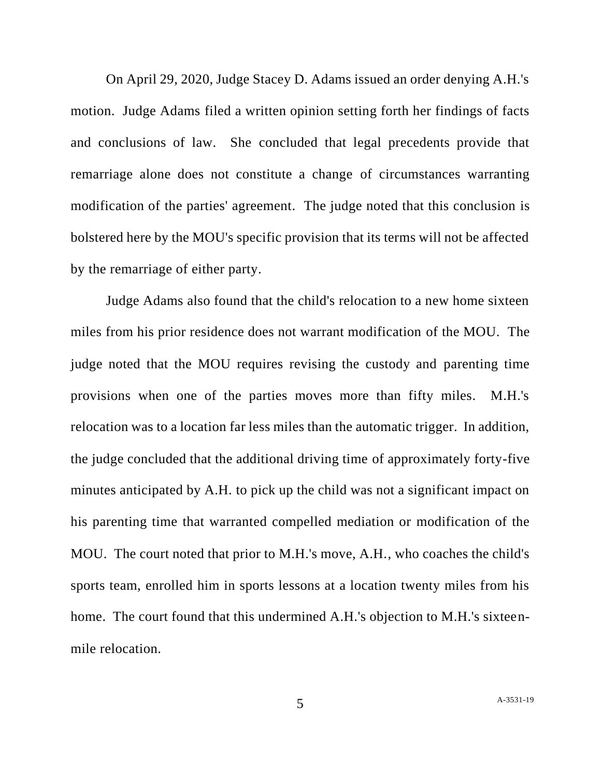On April 29, 2020, Judge Stacey D. Adams issued an order denying A.H.'s motion. Judge Adams filed a written opinion setting forth her findings of facts and conclusions of law. She concluded that legal precedents provide that remarriage alone does not constitute a change of circumstances warranting modification of the parties' agreement. The judge noted that this conclusion is bolstered here by the MOU's specific provision that its terms will not be affected by the remarriage of either party.

Judge Adams also found that the child's relocation to a new home sixteen miles from his prior residence does not warrant modification of the MOU. The judge noted that the MOU requires revising the custody and parenting time provisions when one of the parties moves more than fifty miles. M.H.'s relocation was to a location far less miles than the automatic trigger. In addition, the judge concluded that the additional driving time of approximately forty-five minutes anticipated by A.H. to pick up the child was not a significant impact on his parenting time that warranted compelled mediation or modification of the MOU. The court noted that prior to M.H.'s move, A.H., who coaches the child's sports team, enrolled him in sports lessons at a location twenty miles from his home. The court found that this undermined A.H.'s objection to M.H.'s sixteenmile relocation.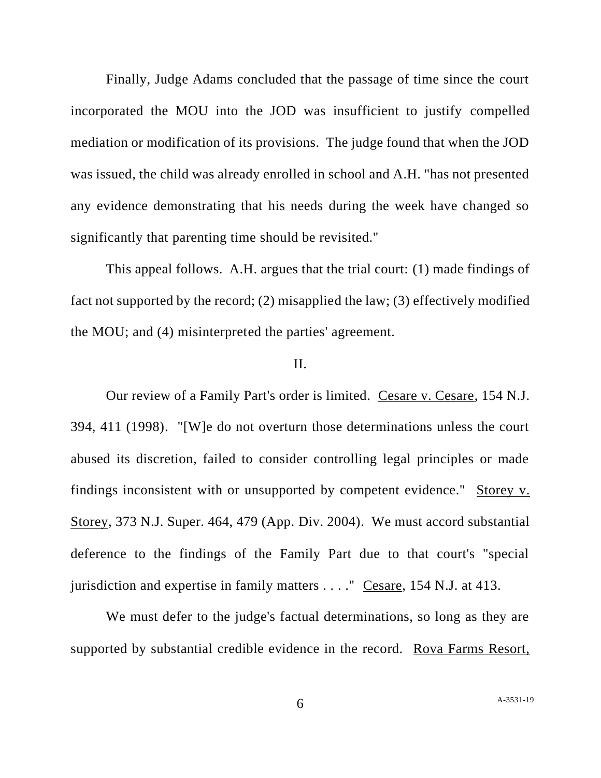Finally, Judge Adams concluded that the passage of time since the court incorporated the MOU into the JOD was insufficient to justify compelled mediation or modification of its provisions. The judge found that when the JOD was issued, the child was already enrolled in school and A.H. "has not presented any evidence demonstrating that his needs during the week have changed so significantly that parenting time should be revisited."

This appeal follows. A.H. argues that the trial court: (1) made findings of fact not supported by the record; (2) misapplied the law; (3) effectively modified the MOU; and (4) misinterpreted the parties' agreement.

## II.

Our review of a Family Part's order is limited. Cesare v. Cesare, 154 N.J. 394, 411 (1998). "[W]e do not overturn those determinations unless the court abused its discretion, failed to consider controlling legal principles or made findings inconsistent with or unsupported by competent evidence." Storey v. Storey, 373 N.J. Super. 464, 479 (App. Div. 2004). We must accord substantial deference to the findings of the Family Part due to that court's "special jurisdiction and expertise in family matters . . . ." Cesare, 154 N.J. at 413.

We must defer to the judge's factual determinations, so long as they are supported by substantial credible evidence in the record. Rova Farms Resort,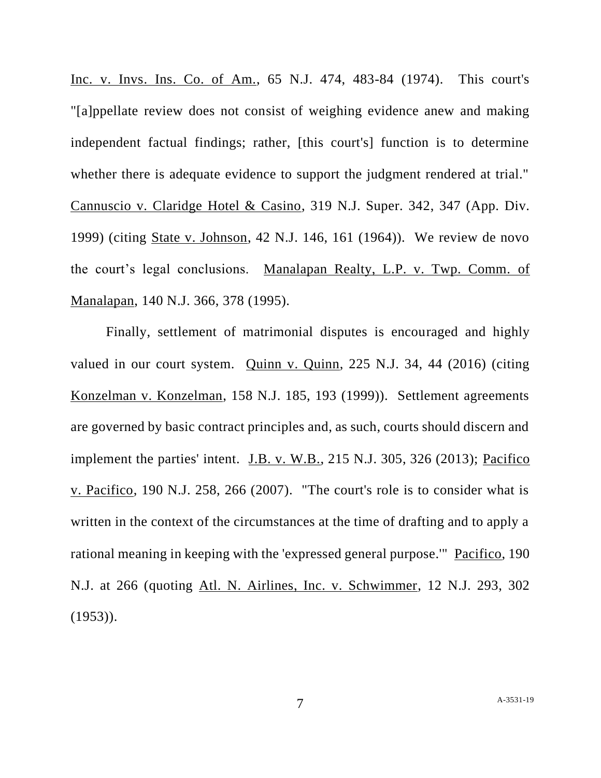Inc. v. Invs. Ins. Co. of Am., 65 N.J. 474, 483-84 (1974). This court's "[a]ppellate review does not consist of weighing evidence anew and making independent factual findings; rather, [this court's] function is to determine whether there is adequate evidence to support the judgment rendered at trial." Cannuscio v. Claridge Hotel & Casino, 319 N.J. Super. 342, 347 (App. Div. 1999) (citing State v. Johnson, 42 N.J. 146, 161 (1964)). We review de novo the court's legal conclusions. Manalapan Realty, L.P. v. Twp. Comm. of Manalapan, 140 N.J. 366, 378 (1995).

Finally, settlement of matrimonial disputes is encouraged and highly valued in our court system. Quinn v. Quinn, 225 N.J. 34, 44 (2016) (citing Konzelman v. Konzelman, 158 N.J. 185, 193 (1999)). Settlement agreements are governed by basic contract principles and, as such, courts should discern and implement the parties' intent. J.B. v. W.B., 215 N.J. 305, 326 (2013); Pacifico v. Pacifico, 190 N.J. 258, 266 (2007). "The court's role is to consider what is written in the context of the circumstances at the time of drafting and to apply a rational meaning in keeping with the 'expressed general purpose.'" Pacifico, 190 N.J. at 266 (quoting Atl. N. Airlines, Inc. v. Schwimmer, 12 N.J. 293, 302  $(1953)$ .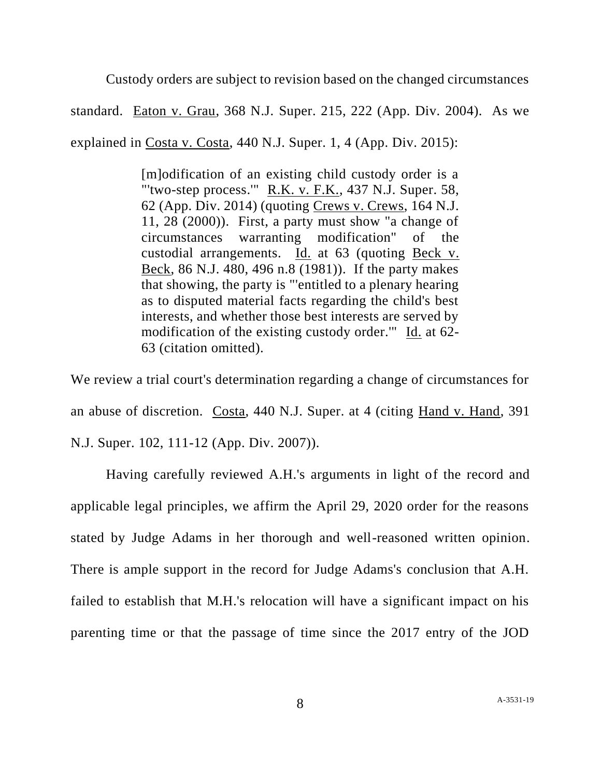Custody orders are subject to revision based on the changed circumstances

standard. Eaton v. Grau, 368 N.J. Super. 215, 222 (App. Div. 2004). As we explained in Costa v. Costa, 440 N.J. Super. 1, 4 (App. Div. 2015):

> [m]odification of an existing child custody order is a "'two-step process.'" R.K. v. F.K., 437 N.J. Super. 58, 62 (App. Div. 2014) (quoting Crews v. Crews, 164 N.J. 11, 28 (2000)). First, a party must show "a change of circumstances warranting modification" of the custodial arrangements. Id. at 63 (quoting Beck v. Beck, 86 N.J. 480, 496 n.8 (1981)). If the party makes that showing, the party is "'entitled to a plenary hearing as to disputed material facts regarding the child's best interests, and whether those best interests are served by modification of the existing custody order.'" Id. at 62- 63 (citation omitted).

We review a trial court's determination regarding a change of circumstances for an abuse of discretion. Costa, 440 N.J. Super. at 4 (citing Hand v. Hand, 391 N.J. Super. 102, 111-12 (App. Div. 2007)).

Having carefully reviewed A.H.'s arguments in light of the record and applicable legal principles, we affirm the April 29, 2020 order for the reasons stated by Judge Adams in her thorough and well-reasoned written opinion. There is ample support in the record for Judge Adams's conclusion that A.H. failed to establish that M.H.'s relocation will have a significant impact on his parenting time or that the passage of time since the 2017 entry of the JOD